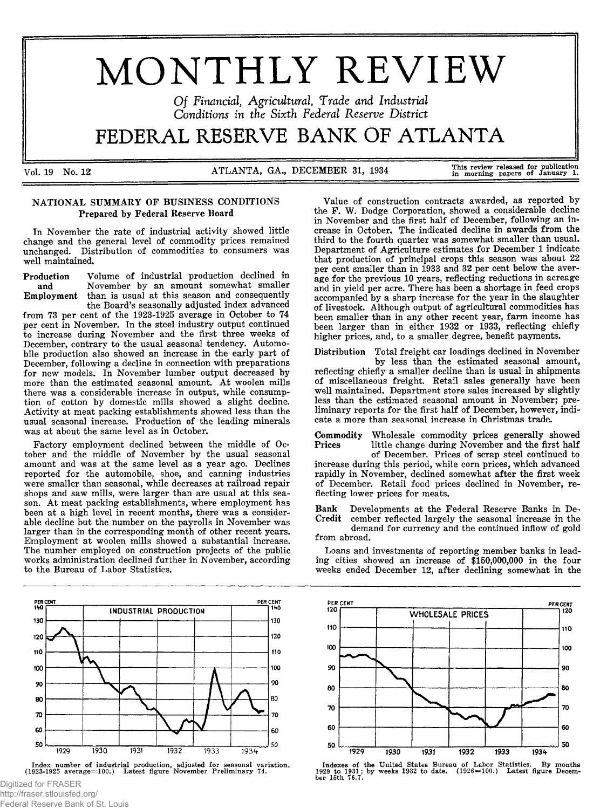# MONTHLY REVIEW

*O f Financial, Agricultural, Trade and Industrial Conditions in the Sixth Federal Reserve D istrict*

# FEDERAL RESERVE BANK OF ATLANTA

Vol. 19 No. 12 ATLANTA, GA., DECEMBER 31, 1934 This review released for publication in morning papers of January 1.

# NATIONAL SUMMARY OF BUSINESS CONDITIONS Prepared by Federal Reserve Board

In November the rate of industrial activity showed little change and the general level of commodity prices remained unchanged. Distribution of commodities to consumers was well maintained.

Production Volume of industrial production declined in and November by an amount somewhat smaller November by an amount somewhat smaller Employment than is usual at this season and consequently the Board's seasonally adjusted index advanced

from 73 per cent of the 1923-1925 average in October to 74 per cent in November. In the steel industry output continued to increase during November and the first three weeks of December, contrary to the usual seasonal tendency. Automobile production also showed an increase in the early part of December, following a decline in connection with preparations for new models. In November lumber output decreased by more than the estimated seasonal amount. At woolen mills there was a considerable increase in output, while consumption of cotton by domestic mills showed a slight decline. Activity at meat packing establishments showed less than the usual seasonal increase. Production of the leading minerals was at about the same level as in October.

Factory employment declined between the middle of October and the middle of November by the usual seasonal amount and was at the same level as a year ago. Declines reported for the automobile, shoe, and canning industries were smaller than seasonal, while decreases at railroad repair shops and saw mills, were larger than are usual at this season. At meat packing establishments, where employment has been at a high level in recent months, there was a considerable decline but the number on the payrolls in November was larger than in the corresponding month of other recent years. Employment at woolen mills showed a substantial increase. The number employed on construction projects of the public works administration declined further in November, according to the Bureau of Labor Statistics.



Index number of industrial production, adjusted for seasonal variation<br>(1923-1925 average=100.) Latest figure November Preliminary 74.

Digitized for FRASER http://fraser.stlouisfed.org/ Federal Reserve Bank of St. Louis

PER CENT PER CENT 120 **WHOLESALE PRICES** 110 110 100 100 90 90 80 80 70 70 60 60



1932

1933

1931

50

1929

1930

50

1934

in November and the first half of December, following an increase in October. The indicated decline in awards from the third to the fourth quarter was somewhat smaller than usual. Department of Agriculture estimates for December 1 indicate that production of principal crops this season was about 22 per cent smaller than in 1933 and 32 per cent below the average for the previous 10 years, reflecting reductions in acreage and in yield per acre. There has been a shortage in feed crops accompanied by a sharp increase for the year in the slaughter of livestock. Although output of agricultural commodities has been smaller than in any other recent year, farm income has been larger than in either 1932 or 1933, reflecting chiefly higher prices, and, to a smaller degree, benefit payments.

Value of construction contracts awarded, as reported by the F. W. Dodge Corporation, showed a considerable decline

Distribution Total freight car loadings declined in November by less than the estimated seasonal amount, reflecting chiefly a smaller decline than is usual in shipments of miscellaneous freight. Retail sales generally have been well maintained. Department store sales increased by slightly less than the estimated seasonal amount in November; preliminary reports for the first half of December, however, indicate a more than seasonal increase in Christmas trade.

Commodity Wholesale commodity prices generally showed<br>Prices little change during November and the first half little change during November and the first half

of December. Prices of scrap steel continued to increase during this period, while corn prices, which advanced rapidly in November, declined somewhat after the first week of December. Retail food prices declined in November, reflecting lower prices for meats.

Bank Developments at the Federal Reserve Banks in December reflected largely the seasonal increase in the

demand for currency and the continued inflow of gold from abroad.

Loans and investments of reporting member banks in leading cities showed an increase of \$150,000,000 in the four weeks ended December 12, after declining somewhat in the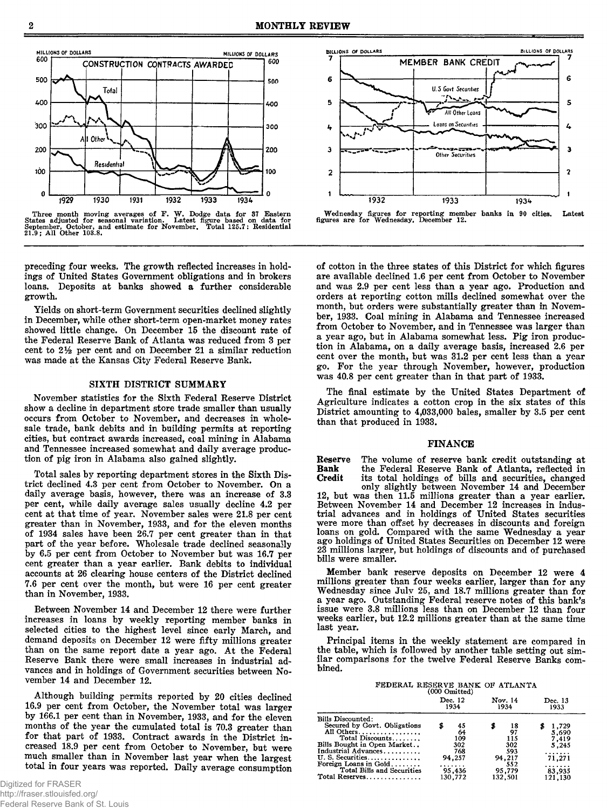

Three month moving averages of F. W. Dodge data for 37 Eastern States adjusted for seasonal variation. Latest figure based on data for September, October, and estimate for November, Total 125.7: Residential 21.9; All Other

preceding four weeks. The growth reflected increases in holdings of United States Government obligations and in brokers loans. Deposits at banks showed a further considerable growth.

Yields on short-term Government securities declined slightly in December, while other short-term open-market money rates showed little change. On December 15 the discount rate of the Federal Reserve Bank of Atlanta was reduced from 3 per cent to 2% per cent and on December 21 a similar reduction was made at the Kansas City Federal Reserve Bank.

# SIXTH DISTRICT SUMMARY

November statistics for the Sixth Federal Reserve District show a decline in department store trade smaller than usually occurs from October to November, and decreases in wholesale trade, bank debits and in building permits at reporting cities, but contract awards increased, coal mining in Alabama and Tennessee increased somewhat and daily average production of pig iron in Alabama also gained slightly.

Total sales by reporting department stores in the Sixth District declined 4.3 per cent from October to November. On a daily average basis, however, there was an increase of 3.3 per cent, while daily average sales usually decline 4.2 per cent at that time of year. November sales were 21.8 per cent greater than in November, 1933, and for the eleven months of 1934 sales have been 26.7 per cent greater than in that part of the year before. Wholesale trade declined seasonally by 6.5 per cent from October to November but was 16.7 per cent greater than a year earlier. Bank debits to individual accounts at 26 clearing house centers of the District declined 7.6 per cent over the month, but were 16 per cent greater than in November, 1933.

Between November 14 and December 12 there were further increases in loans by weekly reporting member banks in selected cities to the highest level since early March, and demand deposits on December 12 were fifty millions greater than on the same report date a year ago. At the Federal Reserve Bank there were small increases in industrial advances and in holdings of Government securities between November 14 and December 12.

Although building permits reported by 20 cities declined 16.9 per cent from October, the November total was larger by 166.1 per cent than in November, 1933, and for the eleven months of the year the cumulated total is 70.3 greater than for that part of 1933. Contract awards in the District increased 18.9 per cent from October to November, but were much smaller than in November last year when the largest total in four years was reported. Daily average consumption



Wednesday figures for reporting member banks in 90 cities. Latest figures are for Wednesday, December 12.

of cotton in the three states of this District for which figures are available declined 1.6 per cent from October to November and was 2.9 per cent less than a year ago. Production and orders at reporting cotton mills declined somewhat over the month, but orders were substantially greater than in November, 1933. Coal mining in Alabama and Tennessee increased from October to November, and in Tennessee was larger than a year ago, but in Alabama somewhat less. Pig iron production in Alabama, on a daily average basis, increased 2.6 per cent over the month, but was 31.2 per cent less than a year go. For the year through November, however, production was 40.8 per cent greater than in that part of 1933.

The final estimate by the United States Department of Agriculture indicates a cotton crop in the six states of this District amounting to 4,033,000 bales, smaller by 3.5 per cent than that produced in 1933.

#### FINANCE

Reserve The volume of reserve bank credit outstanding at Bank the Federal Reserve Bank of Atlanta, reflected in **Bank** the Federal Reserve Bank of Atlanta, reflected in Credit its total holdings of bills and securities, changed

only slightly between November 14 and December 12, but was then 11.5 millions greater than a year earlier. Between November 14 and December 12 increases in industrial advances and in holdings of United States securities were more than offset by decreases in discounts and foreign loans on gold. Compared with the same Wednesday a year ago holdings of United States Securities on December 12 were 23 millions larger, but holdings of discounts and of purchased bills were smaller.

Member bank reserve deposits on December 12 were 4 millions greater than four weeks earlier, larger than for any Wednesday since Julv 25, and 18.7 millions greater than for a year ago. Outstanding Federal reserve notes of this bank's issue were 3.8 millions less than on December 12 than four weeks earlier, but 12.2 millions greater than at the same time last year.

Principal items in the weekly statement are compared in the table, which is followed by another table setting out similar comparisons for the twelve Federal Reserve Banks combined.

FEDERAL RESERVE BANK OF ATLANTA (000 Omitted)

| Dec. 12<br>1934                                   | Nov. 14<br>1934                                          | Dec. 13<br>1933                                                           |
|---------------------------------------------------|----------------------------------------------------------|---------------------------------------------------------------------------|
| 45<br>64<br>109<br>302<br>768<br>94.257<br>95,436 | 18<br>97<br>115<br>302<br>593<br>94.217<br>552<br>95,779 | 1,729<br>5.690<br>7.419<br>5,245<br>.<br>71,271<br>.<br>83,935<br>121,130 |
|                                                   | 130.772                                                  | 132,501                                                                   |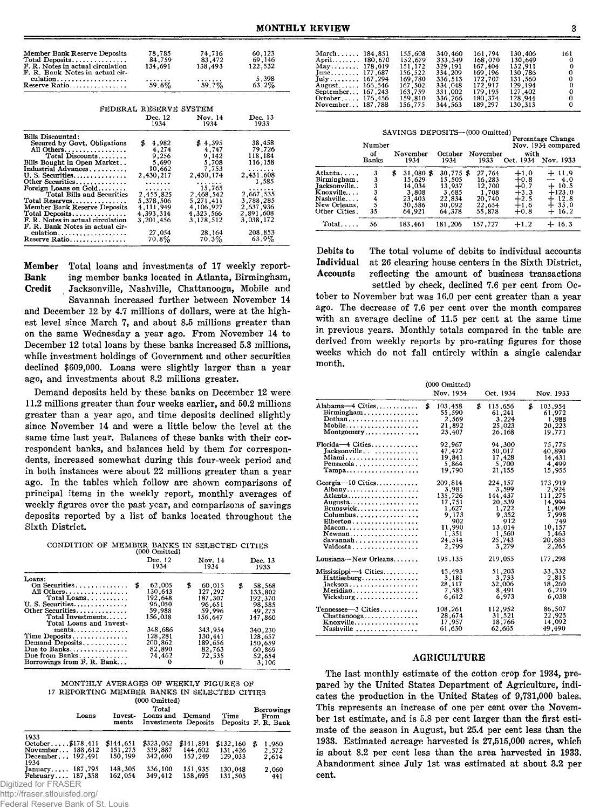| Member Bank Reserve Deposits<br>Total Deposits<br>F. R. Notes in actual circulation | 78,785<br>84,759<br>134,691 | 74,716<br>83,472<br>138.493 | 60,123<br>69,146<br>122,532 |
|-------------------------------------------------------------------------------------|-----------------------------|-----------------------------|-----------------------------|
| F. R. Bank Notes in actual cir-                                                     |                             |                             |                             |
| culation<br>Reserve Ratio                                                           | .<br>59.6%                  | 59.7%                       | 5,398<br>$63.2\%$           |
|                                                                                     |                             |                             |                             |
|                                                                                     | FEDERAL RESERVE SYSTEM      |                             |                             |
|                                                                                     | Dec. 12<br>1934             | Nov. 14<br>1934             | Dec. 13<br>1933             |
|                                                                                     |                             |                             |                             |
| Bills Discounted:                                                                   |                             |                             |                             |
| Secured by Govt. Obligations                                                        | \$<br>4,982                 | \$4,395                     | 38,458                      |
| All Others                                                                          | 4,274                       | 4,747                       | 79,726                      |
| Total Discounts                                                                     | 9,256                       | 9,142                       | 118,184                     |
| Bills Bought in Open Market                                                         | 5,690                       | 5,708                       | 116,158                     |
| Industrial Advances                                                                 | 10,662                      | 7,753                       | .                           |
| U.S. Securities                                                                     | 2,430,217                   | 2.430.174                   | 2,431,608                   |
| Other Securities                                                                    | .                           | .                           | 1,585                       |
| Foreign Loans on Gold                                                               | .                           | 15,765                      | .                           |
| Total Bills and Securities                                                          | 2,455,825                   | 2,468,542                   | 2,667,535                   |
| Total Reserves                                                                      | 5,378,506                   | 5,271,411                   | 3,788,285                   |
| Member Bank Reserve Deposits                                                        | 4,111,949                   | 4,106,927                   | 2,637,936                   |
| Total Deposits                                                                      | 4,393,314                   | 4.323,566                   | 2,891,608                   |
| F. R. Notes in actual circulation                                                   | 3,201,456                   | 3,178,512                   | 3,038,172                   |
| F. R. Bank Notes in actual cir-                                                     |                             |                             |                             |
| culation                                                                            | 27,054                      | 28,164                      | 208.853                     |
| Reserve Ratio                                                                       | 70.8%                       | 70.3%                       | 63.9%                       |

Member Total loans and investments of 17 weekly report-Bank ing member banks located in Atlanta, Birmingham, Credit Jacksonville, Nashville, Chattanooga, Mobile and

Savannah increased further between November 14 and December 12 by 4.7 millions of dollars, were at the highest level since March 7, and about 8.5 millions greater than on the same Wednesday a year ago. From November 14 to December 12 total loans by these banks increased 5.3 millions, while investment holdings of Government and other securities declined \$609,000. Loans were slightly larger than a year ago, and investments about 8.2 millions greater.

Demand deposits held by these banks on December 12 were 11.2 millions greater than four weeks earlier, and 50.2 millions greater than a year ago, and time deposits declined slightly since November 14 and were a little below the level at the same time last year. Balances of these banks with their correspondent banks, and balances held by them for correspondents, increased somewhat during this four-week period and in both instances were about 22 millions greater than a year ago. In the tables which follow are shown comparisons of principal items in the weekly report, monthly averages of weekly figures over the past year, and comparisons of savings deposits reported by a list of banks located throughout the Sixth District.

| CONDITION OF MEMBER BANKS IN SELECTED CITIES |  |                         |  |  |
|----------------------------------------------|--|-------------------------|--|--|
|                                              |  | $(000 \text{ Omitted})$ |  |  |

|                                     | Dec. 12<br>1934 | Nov. 14<br>1934 | Dec. 13<br>1933 |
|-------------------------------------|-----------------|-----------------|-----------------|
| Loans:                              |                 |                 |                 |
| On Securities                       | 62,005          | Б<br>60.015     | 58.568<br>Б     |
| All Others                          | 130.643         | 127.292         | 133,802         |
| Total Loans                         | 192.648         | 187.307         | 192,370         |
| U. S. Securities                    | 96,050          | 96.651          | 98.585          |
| Other Securities                    | 59,988          | 59.996          | 49.275          |
| Total Investments                   | 156,038         | 156.647         | 147.860         |
| Total Loans and Invest-             |                 |                 |                 |
| $ments \ldots \ldots \ldots \ldots$ | 348,686         | 343.954         | 340.230         |
| Time Deposits                       | 128.281         | 130,441         | 128,657         |
| Demand Deposits                     | 200,862         | 189,656         | 150,659         |
| Due to Banks                        | 82.890          | 82,763          | 60.869          |
| Due from Banks                      | 74.462          | 72.535          | 52.654          |
| Borrowings from F. R. Bank          | 0               | o               | 3,106           |

MONTHLY AVERAGES OF WEEKLY FIGURES OF 17 REPORTING MEMBER BANKS IN SELECTED CITIES

|                                      | (000 Omitted)        |                      |                                |                      |  |                                                  |  |
|--------------------------------------|----------------------|----------------------|--------------------------------|----------------------|--|--------------------------------------------------|--|
| Loans                                | Invest-<br>ments     | Total<br>Loans and   | Demand<br>Investments Deposits | Time                 |  | <b>Borrowings</b><br>From<br>Deposits F. R. Bank |  |
| 1933                                 |                      |                      |                                |                      |  |                                                  |  |
| October\$178,411<br>November 188.612 | \$144,651<br>151,275 | \$323,062<br>339,887 | \$141,894<br>144,602           | \$132,160<br>131,426 |  | 1.960<br>2.572                                   |  |
| December 192,491<br>1934             | 150.199              | 342.690              | 152,249                        | 129.033              |  | 2,614                                            |  |
| January 187,795<br>February 187.358  | 148,305<br>162.054   | 336,100<br>349.412   | 151,935<br>158.695             | 130,048<br>131,505   |  | 2,060<br>441                                     |  |
| Digitized for FRASER                 |                      |                      |                                |                      |  |                                                  |  |

http://fraser.stlouisfed.org/

Federal Reserve Bank of St. Louis

| March 184.851                          | 155,608 | 340,460 | 161.794 | 130,406 | 161        |
|----------------------------------------|---------|---------|---------|---------|------------|
| April 180.670                          | 152.679 | 333.349 | 168.070 | 130.649 | $^{\circ}$ |
| $\text{May} \dots \dots \dots 178.019$ | 151.172 | 329,191 | 167.404 | 132.911 | 0          |
| June 177, 687                          | 156.522 | 334.209 | 169.196 | 130.786 | 0          |
| July167.294                            | 169.780 | 336.513 | 172,707 | 131.560 | 0          |
| August 166.546                         | 167.502 | 334.048 | 172,917 | 129.194 | 0          |
| September 167.243                      | 163.759 | 331.002 | 179.195 | 127,402 | 0          |
| October $176,456$                      | 159.810 | 336.266 | 180.374 | 128,944 | 0          |
| November, 187,788                      | 156,775 | 344,563 | 189.297 | 130,313 | 0          |

SAVINGS DEPOSITS—(000 Omitted)

|               | Number      |                  |                 |                  |                   | Percentage Change<br>Nov. 1934 compared |
|---------------|-------------|------------------|-----------------|------------------|-------------------|-----------------------------------------|
|               | of<br>Banks | November<br>1934 | October<br>1934 | November<br>1933 | with<br>Oct. 1934 | Nov. 1933                               |
| Atlanta       | 3           | \$<br>31,080 \$  | 30,775 \$       | 27,764           | $+1.0$            | $+11.9$                                 |
| Birmingham.   |             | 15,629           | 15.505          | 16,283           | $+0.8$            | $-4.0$                                  |
| Jacksonville  |             | 14,034           | 13.937          | 12.700           | $+0.7$            | $+10.5$                                 |
| Knoxville     |             | 3,808            | 3,685           | 1.708            | $+3.3$            | $+123.0$                                |
| Nashville     |             | 23,403           | 22,834          | 20,740           | $+2.5$            | 12.8<br>┶                               |
| New Orleans.  |             | 30,586           | 30,092          | 22,654           | $+1.6$            | $+35.0$                                 |
| Other Cities. | 35          | 64.921           | 64.378          | 55.878           | $+0.8$            | 16.2<br>┿                               |
| $Total \dots$ | 56          | 183.461          | 181.206         | 157.727          | $+1.2$            | $+16.3$                                 |

Debits to The total volume of debits to individual accounts<br>Individual at 26 clearing house centers in the Sixth District. at 26 clearing house centers in the Sixth District, Accounts reflecting the amount of business transactions settled by check, declined 7.6 per cent from Oc-

tober to November but was 16.0 per cent greater than a year ago. The decrease of 7.6 per cent over the month compares with an average decline of 11.5 per cent at the same time in previous years. Monthly totals compared in the table are derived from weekly reports by pro-rating figures for those weeks which do not fall entirely within a single calendar month.

|                                                                                                                                                                          | $(000 \text{ Omitted})$ |                                                                                |                                                                                                      |   |                                                                                                      |
|--------------------------------------------------------------------------------------------------------------------------------------------------------------------------|-------------------------|--------------------------------------------------------------------------------|------------------------------------------------------------------------------------------------------|---|------------------------------------------------------------------------------------------------------|
|                                                                                                                                                                          | Nov. 1934               |                                                                                | Oct. 1934                                                                                            |   | Nov. 1933                                                                                            |
| Alabama-4 Cities<br>Birmingham<br>Dothan<br>Mobile<br>Montgomery                                                                                                         | \$<br>103.458           | \$<br>55,590<br>2,569<br>21,892<br>23,407                                      | 115,656<br>61,241<br>3,224<br>25,023<br>26,168                                                       | £ | 103.954<br>61.972<br>1,988<br>20,223<br>19,771                                                       |
| Florida-4 Cities<br>Jacksonville<br>Pensacola<br>$Tampa \ldots \ldots \ldots \ldots$                                                                                     |                         | 92,967<br>47.472<br>19,841<br>5,864<br>19.790                                  | 94,300<br>50,017<br>17,428<br>5,700<br>21,155                                                        |   | 75,775<br>40,890<br>14,431<br>4,499<br>15.955                                                        |
| $Georgia-10$ Cities<br>Albany<br>Atlanta<br>Augusta<br>Brunswick<br>Columbus<br>Elberton<br>$Macon \ldots \ldots \ldots \ldots \ldots$<br>Newnan<br>Savannah<br>Valdosta | 209,814<br>135,726      | 3,981<br>17,751<br>1,627<br>9.173<br>902<br>11.990<br>1,351<br>24.514<br>2,799 | 224,157<br>3,599<br>144,437<br>20,539<br>1.722<br>9.352<br>912<br>13,014<br>1,560<br>25,743<br>3.279 |   | 173,919<br>2,924<br>111.275<br>14,994<br>1.409<br>7.998<br>749<br>10,157<br>1,463<br>20,685<br>2.265 |
| Lousiana-New Orleans                                                                                                                                                     | 195.135                 |                                                                                | 219,055                                                                                              |   | 177,298                                                                                              |
| $Missisis pipi—4 Cities \ldots$<br>Hattiesburg<br>$Jackson \ldots \ldots \ldots \ldots$<br>Meridian<br>$Vicksburg \ldots \ldots \ldots$                                  |                         | 45,493<br>3,181<br>28,117<br>7,583<br>6,612                                    | 51,203<br>3.733<br>32,006<br>8,491<br>6,973                                                          |   | 33,332<br>2,815<br>18,260<br>6,219<br>6,038                                                          |
| Tennessee-3 Cities<br>Chattanooga<br>$Knoxville \ldots \ldots \ldots \ldots$<br>Nashville                                                                                | 108.261                 | 28,674<br>17,957<br>61,630                                                     | 112,952<br>31,521<br>18,766<br>62,665                                                                |   | 86.507<br>22,925<br>14,092<br>49,490                                                                 |

#### AGRICULTURE

The last monthly estimate of the cotton crop for 1934, prepared by the United States Department of Agriculture, indicates the production in the United States of 9,731,000 bales. This represents an increase of one per cent over the November 1st estimate, and is 5.8 per cent larger than the first estimate of the season in August, but 25.4 per cent less than the 1933. Estimated acreage harvested is 27,515,000 acres, which is about 8.2 per cent less than the area harvested in 1933. Abandonment since July 1st was estimated at about 3.2 per cent.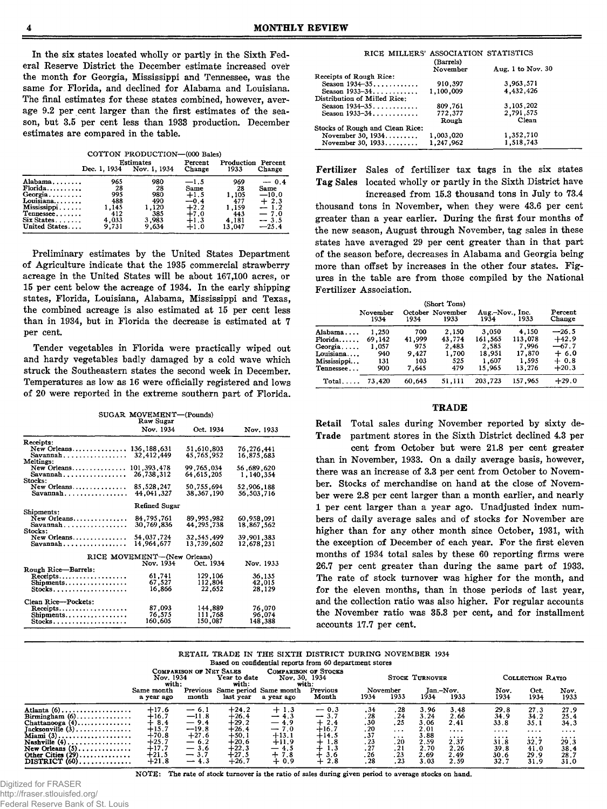In the six states located wholly or partly in the Sixth Federal Reserve District the December estimate increased over the month for Georgia, Mississippi and Tennessee, was the same for Florida, and declined for Alabama and Louisiana. The final estimates for these states combined, however, average 9.2 per cent larger than the first estimates of the season, but 3.5 per cent less than 1933 production. December estimates are compared in the table.

COTTON PRODUCTION—(000 Bales)

|               |              | <b>Estimates</b> | Percent | Production | Percent |  |  |
|---------------|--------------|------------------|---------|------------|---------|--|--|
|               | Dec. 1, 1934 | Nov. 1, 1934     | Change  | 1933       | Change  |  |  |
| Alabama       | 965          | 980              | $-1.5$  | 969        | $-0.4$  |  |  |
| Florida       | 28           | 28               | Same    | 28         | Same    |  |  |
| Georgia       | 995          | 980              | $+1.5$  | 1,105      | $-10.0$ |  |  |
| Louisiana     | 488          | 490              | $-0.4$  | 477        | $+2.3$  |  |  |
| Mississippi   | 1.145        | 1,120            | $+2.2$  | 1.159      | $-1.2$  |  |  |
| Tennessee     | 412          | 385              | $+7.0$  | 443        | $-7.0$  |  |  |
| $Six States$  | 4,033        | 3,983            | $+1.3$  | 4.181      | $-3.5$  |  |  |
| United States | 9.731        | 9.634            | $+1.0$  | 13.047     | $-25.4$ |  |  |

Preliminary estimates by the United States Department of Agriculture indicate that the 1935 commercial strawberry acreage in the United States will be about 167,100 acres, or 15 per cent below the acreage of 1934. In the early shipping states, Florida, Louisiana, Alabama, Mississippi and Texas, the combined acreage is also estimated at 15 per cent less than in 1934, but in Florida the decrease is estimated at 7 per cent.

Tender vegetables in Florida were practically wiped out and hardy vegetables badly damaged by a cold wave which struck the Southeastern states the second week in December. Temperatures as low as 16 were officially registered and lows of 20 were reported in the extreme southern part of Florida.

|                         | SUGAR MOVEMENT-(Pounds)<br>Raw Sugar |                    |                  |
|-------------------------|--------------------------------------|--------------------|------------------|
|                         | Nov. 1934                            | Oct. 1934          | Nov. 1933        |
| Receipts:               |                                      |                    |                  |
| New Orleans             | 136, 188, 631                        | 51,610,803         | 76, 276, 441     |
|                         | 32, 412, 449                         | 45.765.952         | 16,875,683       |
| Meltings:               | 101.393.478                          | 99,765,034         |                  |
| New Orleans<br>Savannah | 26.738.312                           | 64, 615, 64        | 56,689,620       |
| Stocks:                 |                                      |                    | 1,140,354        |
| New Orleans             | 85, 528, 247                         | 50,755,694         | 52,906,188       |
| $Savannah$              | 44.041.327                           | 38,367,190         | 56.503.716       |
|                         | Refined Sugar                        |                    |                  |
| Shipments:              |                                      |                    |                  |
| New Orleans             | 84.795.761                           | 89.995.982         | 60.958.091       |
| $Savannah$              | 30.769.836                           | 44.295.738         | 18,867,562       |
| Stocks:                 |                                      |                    |                  |
| New Orleans             | 54,037,724<br>14,964,677             | 32, 545, 499       | 39,901,383       |
|                         |                                      | 13,739,602         | 12,678,231       |
|                         | RICE MOVEMENT-(New Orleans)          |                    |                  |
|                         | Nov. 1934                            | Oct. 1934          | Nov. 1933        |
| Rough Rice-Barrels:     |                                      |                    |                  |
| Receipts                | 61,741<br>67,527                     | 129,106<br>112,804 | 36,135           |
| Shipments<br>$Stocks$   | 16.866                               | 22,652             | 42,015<br>28,129 |
|                         |                                      |                    |                  |
| Clean Rice---Pockets:   |                                      |                    |                  |
| Receipts                | 87,093                               | 144,889            | 76,070           |
| Shipments               | 76,575                               | 111,768            | 96,074           |
| Stocks                  | 160.605                              | 150,087            | 148.388          |

| RICE MILLERS' ASSOCIATION STATISTICS | (Barrels) |                     |
|--------------------------------------|-----------|---------------------|
|                                      | November  | Aug. 1 to Nov. $30$ |
| Receipts of Rough Rice:              |           |                     |
| Season $1934 - 35$                   | 910,397   | 3,963,571           |
| Season 1933-34                       | 1.100.009 | 4,432,426           |
| Distribution of Milled Rice:         |           |                     |
| Season 1934-35                       | 809,761   | 3, 105, 202         |
| Season 1933-34                       | 772,377   | 2,791,575           |
|                                      | Rough     | Clean               |
| Stocks of Rough and Clean Rice:      |           |                     |
| November 30, $1934$                  | 1,003,020 | 1,352,710           |
| November 30, 1933                    | 1.247.962 | 1.518.743           |

Fertilizer Sales of fertilizer tax tags in the six states Tag Sales located wholly or partly in the Sixth District have

increased from 15.3 thousand tons in July to 73.4 thousand tons in November, when they were 43.6 per cent greater than a year earlier. During the first four months of the new season, August through November, tag sales in these states have averaged 29 per cent greater than in that part of the season before, decreases in Alabama and Georgia being more than offset by increases in the other four states. Figures in the table are from those compiled by the National Fertilizer Association.

| (Short Tons) |                  |        |                          |                         |         |                   |  |
|--------------|------------------|--------|--------------------------|-------------------------|---------|-------------------|--|
|              | November<br>1934 | 1934   | October November<br>1933 | Aug.-Nov., Inc.<br>1934 | 1933    | Percent<br>Change |  |
| Alabama      | 1.250            | 700    | 2,150                    | 3,050                   | 4.150   | $-26.5$           |  |
| $Florida$    | 69.142           | 41.999 | 43,774                   | 161.565                 | 113,078 | $+42.9$           |  |
| Georgia      | 1.057            | 975    | 2,483                    | 2,585                   | 7,996   | $-67.7$           |  |
| Louisiana    | 940              | 9.427  | 1,700                    | 18.951                  | 17,870  | $+6.0$            |  |
| Mississippi  | 131              | 103    | 525                      | 1.607                   | 1.595   | $+0.8$            |  |
| Tennessee    | 900              | 7.645  | 479                      | 15.965                  | 13,276  | $+20.3$           |  |
| Total        | 73.420           | 60.645 | 51.111                   | 203,723                 | 157,965 | $+29.0$           |  |

# TRADE

Retail Total sales during November reported by sixty de-Trade partment stores in the Sixth District declined 4.3 per

cent from October but were 21.8 per cent greater than in November, 1933. On a daily average basis, however, there was an increase of 3.3 per cent from October to November. Stocks of merchandise on hand at the close of November were 2.8 per cent larger than a month earlier, and nearly 1 per cent larger than a year ago. Unadjusted index numbers of daily average sales and of stocks for November are higher than for any other month since October, 1931, with the exception of December of each year. For the first eleven months of 1934 total sales by these 60 reporting firms were 26.7 per cent greater than during the same part of 1933. The rate of stock turnover was higher for the month, and for the eleven months, than in those periods of last year, and the collection ratio was also higher. For regular accounts the November ratio was 35.3 per cent, and for installment accounts 17.7 per cent.

RETAIL TRADE IN THE SIXTH DISTRICT DURING NOVEMBER 1934 lased on confidential reports from 60 department sto

|                                               |                          |                         |                       |                                      | <i>papea on connucuum reports nome of acparement stores</i> |                                                  |                  |                       |                   |              |                  |              |
|-----------------------------------------------|--------------------------|-------------------------|-----------------------|--------------------------------------|-------------------------------------------------------------|--------------------------------------------------|------------------|-----------------------|-------------------|--------------|------------------|--------------|
|                                               | Nov. 1934<br>with:       | COMPARISON OF NET SALES | Year to date<br>with: | Nov. 30, 1934                        | <b>COMPARISON OF STOCKS</b><br>with:                        |                                                  |                  | <b>STOCK TURNOVER</b> |                   |              | COLLECTION RATIO |              |
|                                               | Same month<br>a year ago | Previous<br>month       | last vear             | Same period Same month<br>a vear ago | Previous<br>Month                                           | 1934                                             | November<br>1933 | 1934                  | Jan.-Nov.<br>1933 | Nov.<br>1934 | Oct.<br>1934     | Nov.<br>1933 |
| Atlanta $(6)$                                 | $+17.6$                  | $-6.1$                  | $+24.2$               | $+1.3$                               | $-0.3$                                                      | $\begin{array}{c} .34 \\ .28 \\ .30 \end{array}$ | .28              | 3.96                  | 3.48              | 29.8         | 27.3             | 27.9         |
| Birmingham $(6)$                              | $+16.7$                  | $-11.8$                 | $+26.4$               | $-4.3$                               | $-3.7$                                                      |                                                  | .24              | 3.24                  | 2.66              | 34.9         | 34.2             | 25.4         |
| Chattanooga $(4)$                             | $+8.4$                   | $-9.4$                  | $+29.2$               | $-4.9$                               | $+2.4$                                                      |                                                  | .25              | 3.06                  | 2.41              | 33.8         | 35.1             | 34.3         |
| $Tacksonville(3)$                             | $+15.7$                  | $-19.8$                 | $+26.4$               | $-7.0$                               | $+16.7$                                                     | .20                                              | $\cdots$         | 2.01                  |                   | .            |                  |              |
| Miami $(3)$                                   | $+70.8$                  | $+27.6$                 | $+50.1$               | $+13.1$                              | $+14.5$                                                     |                                                  | $\cdots$         | 3.88                  |                   | $\dots$      | .                | .            |
| Nashville $(4)$                               | $+25.7$                  | $-6.2$                  | $+20.6$               | $+11.9$                              | $+1.8$                                                      | $\frac{.37}{.23}$                                | .20              | 2.59                  | 2.37              | 31.8         | 32.7             | 29.3         |
| $New Orleans (5) \ldots \ldots \ldots \ldots$ | $+17.7$                  | $-3.6$                  | $+22.3$               | $-4.5$                               | 1.3                                                         | $\frac{.27}{.26}$                                | .21              | 2.70                  | 2.26              | 39.8         | 41.0             | 38.4         |
| Other Cities $(29)$                           | $+21.5$                  | $-3.7$                  | $+27.5$               | $+7.8$                               | 3.6<br>┿                                                    |                                                  | .23              | 2.69                  | 2.49              | 30.6         | 29.9             | 28.7         |
| $DISTRICT (60)$                               | $+21.8$                  | $-4.3$                  | $+26.7$               | $+0.9$                               | 2.8<br>∸                                                    | .28                                              | .23              | 3.03                  | 2.59              | 32.7         | 31.9             | 31.0         |

Digitized for FRASER http://fraser.stlouisfed.org/ Federal Reserve Bank of St. Louis NOTE: The rate of stock turnover is the ratio of sales during given period to average stocks on hand.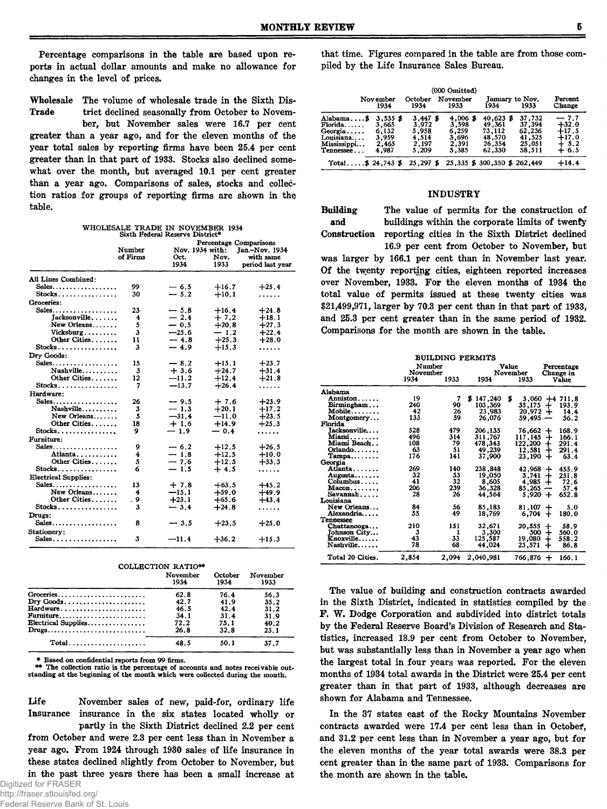Percentage comparisons in the table are based upon reports in actual dollar amounts and make no allowance for changes in the level of prices.

Wholesale The volume of wholesale trade in the Sixth Dis-Trade trict declined seasonally from October to Novem-

ber, but November sales were 16.7 per cent greater than a year ago, and for the eleven months of the year total sales by reporting firms have been 25.4 per cent greater than in that part of 1933. Stocks also declined somewhat over the month, but averaged 10.1 per cent greater than a year ago. Comparisons of sales, stocks and collection ratios for groups of reporting firms are shown in the table.

WHOLESALE TRADE IN NOVEMBER 1934 Sixth Federal Reserve District\*

|                                     | Percentage Comparisons<br>Number<br>Nov. 1934 with:<br>Jan.-Nov. 1934 |              |              |                               |  |  |
|-------------------------------------|-----------------------------------------------------------------------|--------------|--------------|-------------------------------|--|--|
|                                     | of Firms                                                              | Oct.<br>1934 | Nov.<br>1933 | with same<br>period last year |  |  |
| All Lines Combined:                 |                                                                       |              |              |                               |  |  |
| Sales                               | 99                                                                    | $-6.5$       | $+16.7$      | $+25.4$                       |  |  |
| Stocks                              | 30                                                                    | $-5.2$       | $+10.1$      | .                             |  |  |
| Groceries:                          |                                                                       |              |              |                               |  |  |
| Sales                               | 23                                                                    | $-5.8$       | $+16.4$      | $+24.8$                       |  |  |
| Iacksonville                        | 4                                                                     | $-2.4$       | $+7.2$       | $+18.1$                       |  |  |
| New Orleans                         | 5                                                                     | $-0.5$       | $+20.8$      | $+27.3$                       |  |  |
| Vicksburg                           | 3                                                                     | $-25.6$      | $-1.2$       | $+22.4$                       |  |  |
| Other Cities                        | 11                                                                    | $-4.8$       | $+25.3$      | $+28.0$                       |  |  |
| Stocks                              | 3                                                                     | $-4.9$       | $+15.3$      | .                             |  |  |
| Dry Goods:                          |                                                                       |              |              |                               |  |  |
| Sales                               | 15                                                                    | $-8.2$       | $+15.1$      | $+23.7$                       |  |  |
| Nashville                           | 3                                                                     | $+3.6$       | $+24.7$      | $+31.4$                       |  |  |
| Other Cities                        | 12                                                                    | $-11.2$      | $+12.4$      | $+21.8$                       |  |  |
| Stocks                              | 7                                                                     | $-13.7$      | $+26.4$      | .                             |  |  |
| Hardware:                           |                                                                       |              |              |                               |  |  |
| Sales                               | 26                                                                    | $-9.5$       | $+7.6$       | $+23.9$                       |  |  |
| Nashville                           | 3                                                                     | $-1.3$       | $+20.1$      | $+17,2$                       |  |  |
| New Orleans                         | 5                                                                     | $-31.4$      | $-11.0$      | $+23.5$                       |  |  |
| Other Cities                        | 18                                                                    | $+1.6$       | $+14.9$      | $+25.3$                       |  |  |
| $Stocks$                            | 9                                                                     | $-1.9$       | $-0.4$       | .                             |  |  |
| Furniture:                          |                                                                       |              |              |                               |  |  |
| Sales                               | 9                                                                     | $-6.2$       | $+12.5$      | $+26.5$                       |  |  |
| Atlanta                             | 4                                                                     | $-1.8$       | $+12.5$      | $+10.0$                       |  |  |
| Other Cities                        | 5                                                                     | $-7.6$       | $+12.5$      | $+33.3$                       |  |  |
| Stocks                              | 6                                                                     | $-1.5$       | $+4.5$       | .                             |  |  |
| <b>Electrical Supplies:</b>         |                                                                       |              |              |                               |  |  |
| Sales                               | 13                                                                    | $+7.8$       | $+63.5$      | $+45.2$                       |  |  |
| New Orleans                         | 4                                                                     | $-15.1$      | $+59.0$      | $+49.9$                       |  |  |
| Other Cities                        | 9<br>J.                                                               | $+23.1$      | $+65.6$      | $+43.4$                       |  |  |
| $Stocks$                            | 3                                                                     | $-3.4$       | $+24.8$      | .                             |  |  |
| Drugs:                              |                                                                       |              |              |                               |  |  |
| Sales                               | 8                                                                     | $-3.5$       | $+23.5$      | $+25.0$                       |  |  |
| Stationery:                         |                                                                       |              |              |                               |  |  |
| $Sales \ldots \ldots \ldots \ldots$ | 3                                                                     | $-11.4$      | $+36.2$      | $+15.3$                       |  |  |

COLLECTION RATIO\*\*

|                                                                                 | November<br>1934 | October<br>1934 | November<br>1933 |
|---------------------------------------------------------------------------------|------------------|-----------------|------------------|
| Groceries                                                                       | 62.8             | 76.4            | 56.3             |
| $\mathbf{Dry}\ \mathbf{Goods}\ \dots \dots \dots \dots \dots \dots \dots \dots$ | 42.7             | 41.9            | 35.2             |
| Hardware                                                                        | 46.5             | 42.4            | 31.2             |
|                                                                                 | 34.1             | 31.4            | 31.9             |
| ${\rm Electrical~Supplies.}$                                                    | 72.2             | 75.1            | 40.2             |
| Drugs                                                                           | 26.8             | 32.8            | 23.1             |
|                                                                                 | 48.5             | 50.1            | 37.7             |

\* Based on confidential reports from 99 firms. \*\* The collection ratio is the percentage of accounts and notes receivable out-standing at the beginning of the month which were collected during the month.

Life November sales of new, paid-for, ordinary life Insurance insurance in the six states located wholly or partly in the Sixth District declined 2.2 per cent from October and were 2.3 per cent less than in November a year ago. From 1924 through 1930 sales of life insurance in these states declined slightly from October to November, but in the past three years there has been a small increase at

that time. Figures compared in the table are from those compiled by the Life Insurance Sales Bureau.

|                                                                          | Nov ember<br>1934                                       | October<br>1934                                     | (000 Omitted)<br>November<br>1933                       | 1934                                                          | January to Nov.<br>1933                                  | Percent<br>Change                                        |
|--------------------------------------------------------------------------|---------------------------------------------------------|-----------------------------------------------------|---------------------------------------------------------|---------------------------------------------------------------|----------------------------------------------------------|----------------------------------------------------------|
| Alabama\$<br>Florida<br>Georgia<br>Louisiana<br>Mississippi<br>Tennessee | $3,535$ \$<br>3.665<br>6.132<br>3.959<br>2,465<br>4.987 | 3.447f<br>3.972<br>5.958<br>4.514<br>2,197<br>5.209 | $4,006$ \$<br>3,598<br>6.259<br>3.696<br>2.391<br>5.385 | $40.623$ \$<br>49,361<br>73.112<br>48.570<br>26.354<br>62,330 | 37,732<br>37.394<br>62,236<br>41.525<br>25,051<br>58.511 | $-7.7$<br>$+32.0$<br>$+17.5$<br>$+17.0$<br>5.2<br>$+6.5$ |
| Total\$ 24,743 \$                                                        |                                                         |                                                     | 25,297 \$ 25,335 \$ 300,350 \$ 262,449                  |                                                               |                                                          | $+14.4$                                                  |

# INDUSTRY

Building The value of permits for the construction of and buildings within the corporate limits of twenty Construction reporting cities in the Sixth District declined

16.9 per cent from October to November, but was larger by 166.1 per cent than in November last year. Of the twenty reporting cities, eighteen reported increases over November, 1933. For the eleven months of 1934 the total value of permits issued at these twenty cities was \$21,499,971, larger by 70.3 per cent than in that part of 1933, and 25.3 per cent greater than in the same period of 1932. Comparisons for the month are shown in the table.

| <b>BUILDING PERMITS</b>                   |                            |       |              |                           |                                  |  |
|-------------------------------------------|----------------------------|-------|--------------|---------------------------|----------------------------------|--|
|                                           | Number<br>November<br>1934 | 1933  | 1934         | Value<br>November<br>1933 | Percentage<br>Change in<br>Value |  |
| Alahama                                   |                            |       |              |                           |                                  |  |
| Anniston                                  | 19                         | 7     | 147,240<br>s | \$<br>3.060               | $+4711.8$                        |  |
| $B$ irmingham                             | 240                        | 90    | 103,369      | 35,175                    | 193.9<br>┿                       |  |
| $\mathbf{M}$ obile $\ldots \ldots \ldots$ | 42                         | 26    | 23,983       | 20,972                    | 14.4<br>+                        |  |
| Montgomery                                | 133                        | 59    | 26,076       | 59,495                    | 56.2<br>-                        |  |
| Florida                                   |                            |       |              |                           |                                  |  |
| Jacksonville                              | 528                        | 479   | 206,135      |                           | 168.9                            |  |
| Miami.                                    | 496                        | 314   | 311,767      | 76,662                    | ┿                                |  |
| Miami Beach                               | 108                        | 79    | 478,343      | 117,145                   | $\div$<br>166.1                  |  |
|                                           | 63                         |       |              | 122,200                   | 291.4<br>$+$                     |  |
| Orlando                                   |                            | 51    | 49,239       | 12,581                    | 291.4<br>┿                       |  |
| $Tampa \ldots$                            | 176                        | 141   | 37,900       | 23.190                    | 63.4<br>+                        |  |
| Georgia                                   |                            |       |              |                           |                                  |  |
| Atlanta                                   | 269                        | 140   | 238,848      | 42,968                    | 455.9<br>+                       |  |
| Augusta                                   | 32                         | 53    | 19,050       | 5,741                     | 231.8<br>┿                       |  |
| Columbus                                  | 41                         | 32    | 8,605        | 4,985                     | 72.6<br>┿                        |  |
| $Macon. \ldots \ldots$                    | 206                        | 239   | 36,328       | 85,265                    | 57.4<br>$\overline{\phantom{m}}$ |  |
| Savannah                                  | 28                         | 26    | 44,564       | $5,920 +$                 | 652.8                            |  |
| Louisiana                                 |                            |       |              |                           |                                  |  |
| New Orleans                               | 84                         | 56    | 85,183       | 81,107                    | 5.0<br>┿                         |  |
| Alexandria                                | 55                         | 49    | 18,769       | 6,704                     | 180.0<br>+                       |  |
| Tennessee                                 |                            |       |              |                           |                                  |  |
| Chattanooga                               | 210                        | 151   | 32,671       | 20,555                    | 58.9<br>$\bm{+}$                 |  |
| Johnson City                              | 3                          | ı     | 3,300        | 500                       | 560.0<br>$\pm$                   |  |
| Knoxville                                 | 43                         | 33    | 125,587      | 19,080                    | 558.2<br>+                       |  |
| $Nashville \dots$                         | 78                         | 68    | 44.024       | 23.571                    | 86.8<br>+                        |  |
| Total 20 Cities.                          | 2,854                      | 2,094 | 2,040,981    | 766,876                   | 166.1<br>$+$                     |  |

The value of building and construction contracts awarded in the Sixth District, indicated in statistics compiled by the F. W. Dodge Corporation and subdivided into district totals by the Federal Reserve Board's Division of Research and Statistics, increased 18.9 per cent from October to November, but was substantially less than in November a year ago when the largest total in four years was reported. For the eleven months of 1934 total awards in the District were 25.4 per cent greater than in that part of 1933, although decreases are shown for Alabama and Tennessee.

In the 37 states east of the Rocky Mountains November contracts awarded were 17.4 per cent less than in Octobef, and 31.2 per cent less than in November a year ago, but for the eleven months of the year total awards were 38.3 per cent greater than in the same part of 1933. Comparisons for the month are shown in the tahle.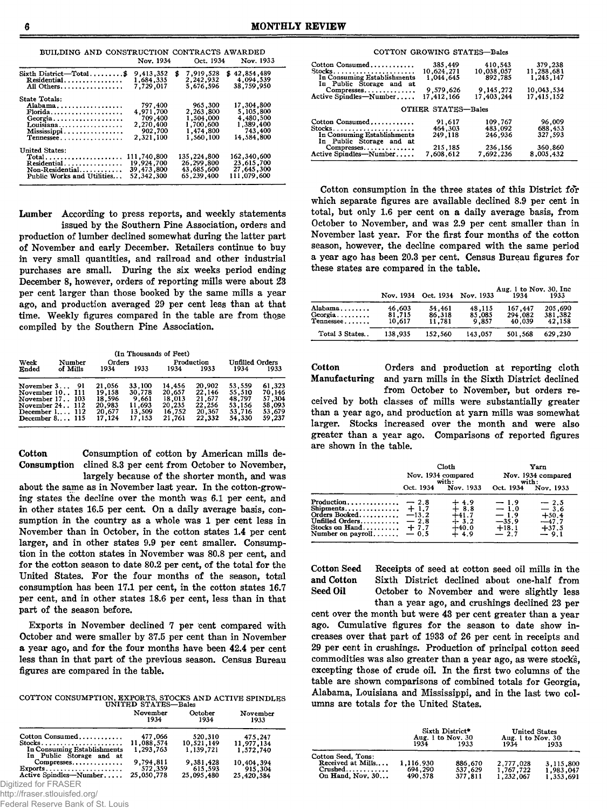|  | BUILDING AND CONSTRUCTION CONTRACTS AWARDED |            |          |
|--|---------------------------------------------|------------|----------|
|  | N <sub>ov</sub> 1034                        | $024$ 1014 | Nov 1933 |

|                                                                                            | Nov. 1934                                                            |   | Oct. 1934                                                                | Nov. 1933                                                                  |
|--------------------------------------------------------------------------------------------|----------------------------------------------------------------------|---|--------------------------------------------------------------------------|----------------------------------------------------------------------------|
| Sixth District-Total\$<br>Residential<br>All Others                                        | 9,413,352<br>1,684,335<br>7.729.017                                  | S | 7,919,528<br>2,242,932<br>5.676.596                                      | \$42,854,489<br>4,094,539<br>38,759,950                                    |
| State Totals:<br>Alabama.<br>$Florida$<br>Georgia<br>Louisiana<br>Mississippi<br>Tennessee | 797,400<br>4.971.700<br>709,400<br>2,270,400<br>902,700<br>2,321,100 |   | 965,300<br>2,263,800<br>1,504,000<br>1,700,600<br>1.474.800<br>1.560.100 | 17,304,800<br>5.105.800<br>4,480,500<br>1,389,400<br>743,400<br>14.584.800 |
| United States:<br>$Total$<br>Residential<br>Non-Residential<br>Public Works and Utilities  | 111,740,800<br>19,924,700<br>39.473.800<br>52,342,300                |   | 135,224,800<br>26,299,800<br>43,685,600<br>65,239,400                    | 162,340,600<br>23,615,700<br>27,645,300<br>111,079,600                     |

Lumber According to press reports, and weekly statements

issued by the Southern Pine Association, orders and production of lumber declined somewhat during the latter part of November and early December. Retailers continue to buy in very small quantities, and railroad and other industrial purchases are small. During the six weeks period ending December 8, however, orders of reporting mills were about 23 per cent larger than those booked by the same mills a year ago, and production averaged 29 per cent less than at that time. Weekly figures compared in the table are from those compiled by the Southern Pine Association.

|                                                                                                                     |          |        |                                                          | (In Thousands of Feet)                                  |                                                          |                                                          |                                                          |                                                          |
|---------------------------------------------------------------------------------------------------------------------|----------|--------|----------------------------------------------------------|---------------------------------------------------------|----------------------------------------------------------|----------------------------------------------------------|----------------------------------------------------------|----------------------------------------------------------|
| Week<br>Ended                                                                                                       | of Mills | Number | Orders<br>1934                                           | 1933                                                    | 1934                                                     | Production<br>1933                                       | <b>Unfilled Orders</b><br>1934                           | 1933                                                     |
| November 3 91<br>November 10 I11<br>November 17103<br>November 24 112<br>December $1$ 112<br>December $8 \dots 115$ |          |        | 21,056<br>19,158<br>18,596<br>20.983<br>20.677<br>17.124 | 33,100<br>30,778<br>9,661<br>11,693<br>13,509<br>17.153 | 14,456<br>20,657<br>18.013<br>20,235<br>16,752<br>21,761 | 20,902<br>22.146<br>21,677<br>22,256<br>20,367<br>22,332 | 53,559<br>55,510<br>48.797<br>53,156<br>53.716<br>54,330 | 61.323<br>70.146<br>57,304<br>58,093<br>53,679<br>59.237 |

Cotton Consumption of cotton by American mills de-Consumption clined 8.3 per cent from October to November,

largely because of the shorter month, and was about the same as in November last year. In the cotton-growing states the decline over the month was 6.1 per cent, and in other states 16.5 per cent. On a daily average basis, consumption in the country as a whole was 1 per cent less in November than in October, in the cotton states 1.4 per cent larger, and in other states 9.9 per cent smaller. Consumption in the cotton states in November was 80.8 per cent, and for the cotton season to date 80.2 per cent, of the total for the United States. For the four months of the season, total consumption has been 17.1 per cent, in the cotton states 16.7 per cent, and in other states 18.6 per cent, less than in that part of the season before.

Exports in November declined 7 per cent compared with October and were smaller by 37.5 per cent than in November a year ago, and for the four months have been 42.4 per cent less than in that part of the previous season. Census Bureau figures are compared in the table.

COTTON CONSUMPTION, EXPORTS, STOCKS AND ACTIVE SPINDLES UNITED STATES—Bales

|                                                         | November<br>1934 | October<br>1934 | November<br>1933 |
|---------------------------------------------------------|------------------|-----------------|------------------|
| Cotton Consumed                                         | 477.066          | 520,310         | 475.247          |
| Stocks                                                  | 11,088,574       | 10,521,149      | 11.977.134       |
| In Consuming Establishments<br>In Public Storage and at | 1.293.763        | 1.139.721       | 1.572.740        |
| Compresses                                              | 9,794,811        | 9,381,428       | 10,404,394       |
| $Exports$                                               | 572.359          | 615,593         | 915,304          |
| Active Spindles-Number                                  | 25,050,778       | 25,095,480      | 25,420,584       |
| iitized for FRASER                                      |                  |                 |                  |

Dig http://fraser.stlouisfed.org/

Federal Reserve Bank of St. Louis

|                                                                                      | COTTON GROWING STATES-Bales        |                                  |                                    |
|--------------------------------------------------------------------------------------|------------------------------------|----------------------------------|------------------------------------|
| Cotton Consumed<br>Stocks<br>In Consuming Establishments<br>In Public Storage and at | 385,449<br>10,624,271<br>1.044.645 | 410,543<br>10,038,057<br>892,785 | 379,238<br>11,288,681<br>1,245,147 |
| Compresses<br>Active Spindles-Number                                                 | 9,579,626<br>17.412.166            | 9, 145, 272<br>17,403,244        | 10,043,534<br>17,415,152           |
|                                                                                      | OTHER STATES-Bales                 |                                  |                                    |
| Cotton Consumed<br>Stocks<br>In Consuming Establishments<br>In Public Storage and at | 91,617<br>464,303<br>249,118       | 109,767<br>483,092<br>246,936    | 96,009<br>688,453<br>327,593       |
| Compresses<br>Active Spindles-Number                                                 | 215,185<br>7,608,612               | 236,156<br>7,692,236             | 360,860<br>8,005,432               |

Cotton consumption in the three states of this District for which separate figures are available declined 8.9 per cent in total, but only 1.6 per cent on a daily average basis, from October to November, and was 2.9 per cent smaller than in November last year. For the first four months of the cotton season, however, the decline compared with the same period a year ago has been 20.3 per cent. Census Bureau figures for these states are compared in the table.

|                                                  |                            |                            | Nov. 1934 Oct. 1934 Nov. 1933 | Aug. 1 to Nov. 30, Inc.<br>1934 | 1933                         |
|--------------------------------------------------|----------------------------|----------------------------|-------------------------------|---------------------------------|------------------------------|
| Alabama<br>$Georria. \ldots \ldots$<br>Tennessee | 46,603<br>81,715<br>10.617 | 54.461<br>86,318<br>11.781 | 48,115<br>85,085<br>9.857     | 167,447<br>294.082<br>40.039    | 205.690<br>381,382<br>42.158 |
| Total 3 States                                   | 138,935                    | 152,560                    | 143,057                       | 501.568                         | 629,230                      |

Cotton Orders and production at reporting cloth Manufacturing and yarn mills in the Sixth District declined from October to November, but orders received by both classes of mills were substantially greater than a year ago, and production at yarn mills was somewhat larger. Stocks increased over the month and were also greater than a year ago. Comparisons of reported figures are shown in the table.

|                                                                                                      |                                                           | Cloth<br>Nov. 1934 compared<br>with:                                                      | Yarn<br>Nov. 1934 compared<br>with:                        |                                                           |  |
|------------------------------------------------------------------------------------------------------|-----------------------------------------------------------|-------------------------------------------------------------------------------------------|------------------------------------------------------------|-----------------------------------------------------------|--|
|                                                                                                      | Oct. 1934                                                 | Nov. 1933                                                                                 | Oct. 1934                                                  | Nov. 1933                                                 |  |
| Production<br>Shipments<br>Orders Booked<br>Unfilled Orders<br>Stocks on Hand<br>Number on $payroll$ | $-2.8$<br>$+1.7$<br>$-13.2$<br>$-2.8$<br>$+7.7$<br>$-0.5$ | $\overset{+}{+}\,\overset{4.9}{\scriptstyle8.8}$<br>$+41.7$<br>$+3.2$<br>$+40.0$<br>← 4.9 | $-1.9$<br>$-1.0$<br>$-1.9$<br>$-35.9$<br>$+18.1$<br>$-2.7$ | $-2.5$<br>$-3.6$<br>$+50.4$<br>-47.7<br>$+37.5$<br>$-9.1$ |  |

Cotton Seed Receipts of seed at cotton seed oil mills in the and Cotton Sixth District declined about one-half from<br>Seed Oil October to November and were slightly less October to November and were slightly less than a year ago, and crushings declined 23 per

cent over the month but were 43 per cent greater than a year ago. Cumulative figures for the season to date show increases over that part of 1933 of 26 per cent in receipts and 29 per cent in crushings. Production of principal cotton seed commodities was also greater than a year ago, as were stocks, excepting those of crude oil. In the first two columns of the table are shown comparisons of combined totals for Georgia, Alabama, Louisiana and Mississippi, and in the last two columns are totals for the United States.

|                         | Sixth District*<br>Aug. 1 to Nov. 30 |         | <b>United States</b><br>Aug. 1 to Nov. 30 |           |
|-------------------------|--------------------------------------|---------|-------------------------------------------|-----------|
|                         | 1934                                 | 1933    | 1934                                      | 1933      |
| Cotton Seed, Tons:      |                                      |         |                                           |           |
| Received at Mills       | 1,116,930                            | 886.670 | 2,777,028                                 | 3.115.800 |
| $Crushed \ldots \ldots$ | 694.290                              | 537.629 | 1,767,722                                 | 1,983,047 |
| On Hand, Nov. 30        | 490.578                              | 377,811 | 1,232,067                                 | 1.353.691 |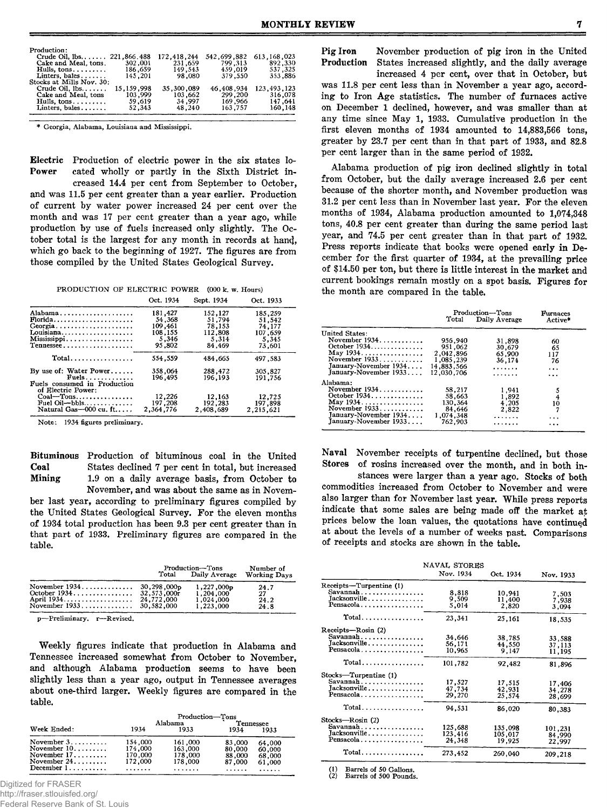| Production:                  |              |             |              |               |
|------------------------------|--------------|-------------|--------------|---------------|
| Crude Oil, 1bs 221,866.488   |              | 172.418.244 | 542,699.882  | 613.168.023   |
| Cake and Meal, tons.         | 302,001      | 231,659     | 799.313      | 892.330       |
| Hulls, $tons, \ldots \ldots$ | 186,659      | 149.543     | 459.019      | 537 325       |
| Linters, bales               | 145.201      | 98.080      | 379.550      | 353.886       |
| Stocks at Mills Nov. 30:     |              |             |              |               |
| Crude Oil, $lbs$             | 15, 159, 998 | 35.300.089  | 46, 408, 934 | 123, 493, 123 |
| Cake and Meal, tons          | 103,999      | 103.662     | 299.200      | 316,078       |
| Hulls, $tons \ldots \ldots$  | 59.619       | 34.997      | 169.966      | 147.641       |
| Linters, bales               | 52.343       | 48.240      | 163.757      | 160,148       |
|                              |              |             |              |               |

\* Georgia, Alabama, Louisiana and Mississippi.

Electric Production of electric power in the six states located wholly or partly in the Sixth District increased 14.4 per cent from September to October, and was 11.5 per cent greater than a year earlier. Production of current by water power increased 24 per cent over the month and was 17 per cent greater than a year ago, while production by use of fuels increased only slightly. The October total is the largest for any month in records at hand, which go back to the beginning of 1927. The figures are from those compiled by the United States Geological Survey.

PRODUCTION OF ELECTRIC POWER (000 k. w. Hours) Oct. 1934 Sept. 1934 Oct. 1933

|                                                                | . <i>.</i> . | いしいし エノンエ | <b>ULL 1900</b> |
|----------------------------------------------------------------|--------------|-----------|-----------------|
| Alabama                                                        | 181,427      | 152,127   | 185,259         |
| $Florida \ldots \ldots \ldots \ldots \ldots$                   | 54,368       | 51.794    | 51,542          |
| Georgia                                                        | 109.461      | 78,153    | 74,177          |
| Louisiana                                                      | 108,155      | 112,808   | 107.659         |
| Mississippi                                                    | 5,346        | 5,314     | 5.345           |
| Tennessee                                                      | 95.802       | 84.469    | 73,601          |
| $Total \ldots \ldots \ldots$                                   | 554.559      | 484,665   | 497.583         |
| By use of: Water Power                                         | 358,064      | 288,472   | 305,827         |
| $Fuels.$<br>Fuels consumed in Production<br>of Electric Power: | 196,495      | 196.193   | 191,756         |
| $Coal$ -Tons                                                   | 12,226       | 12,163    | 12,725          |
| Fuel Oil-bbls                                                  | 197,208      | 192,283   | 197.898         |
| Natural Gas $-000$ cu. ft                                      | 2,364,776    | 2,408,689 | 2.215.621       |

Note: 1934 figures preliminary.

Bituminous Production of bituminous coal in the United Coal States declined 7 per cent in total, but increased<br>Mining 1.9 on a daily average basis, from October to 1.9 on a daily average basis, from October to November, and was about the same as in November last year, according to preliminary figures compiled by the United States Geological Survey. For the eleven months of 1934 total production has been 9.3 per cent greater than in that part of 1933. Preliminary figures are compared in the table.

|                                                   | Number of<br><b>Working Days</b>       |  |
|---------------------------------------------------|----------------------------------------|--|
| 1,227,000p<br>1.204.000<br>1,024,000<br>1,223,000 | 24.7<br>27<br>24.2<br>24.8             |  |
|                                                   | Production-Tons<br>Total Daily Average |  |

p—Preliminary, r—Revised.

Weekly figures indicate that production in Alabama and Tennessee increased somewhat from October to November, and although Alabama production seems to have been slightly less than a year ago, output in Tennessee averages about one-third larger. Weekly figures are compared in the table.

|                                                                                                                                                 | Production-Tons                          |                                               |                                           |                                      |  |
|-------------------------------------------------------------------------------------------------------------------------------------------------|------------------------------------------|-----------------------------------------------|-------------------------------------------|--------------------------------------|--|
| Week Ended:                                                                                                                                     | Alabama<br>1934<br>1933                  |                                               | Tennessee<br>1934                         | 1933                                 |  |
| November $3, \ldots, \ldots$<br>November $10, \ldots, \ldots$<br>November $17, \ldots, \ldots$<br>November $24$<br>December $1, \ldots, \ldots$ | 154,000<br>174,000<br>170,000<br>172,000 | 161,000<br>163,000<br>178,000<br>178,000<br>. | 83,000<br>80,000<br>88,000<br>87,000<br>. | 64,000<br>60,000<br>68,000<br>61,000 |  |

Digitized for FRASER

http://fraser.stlouisfed.org/

Federal Reserve Bank of St. Louis

Pig Iron November production of pig iron in the United States increased slightly, and the daily average

increased 4 per cent, over that in October, but was 11.8 per cent less than in November a year ago, according to Iron Age statistics. The number of furnaces active on December 1 declined, however, and was smaller than at any time since May 1, 1933. Cumulative production in the first eleven months of 1934 amounted to 14,883,566 tons, greater by 23.7 per cent than in that part of 1933, and 82.8 per cent larger than in the same period of 1932.

Alabama production of pig iron declined slightly in total from October, but the daily average increased 2.6 per cent because of the shorter month, and November production was 31.2 per cent less than in November last year. For the eleven months of 1934, Alabama production amounted to 1,074,348 tons, 40.8 per cent greater than during the same period last year, and 74.5 per cent greater than in that part of 1932. Press reports indicate that books were opened early in December for the first quarter of 1934, at the prevailing price of \$14.50 per ton, but there is little interest in the market and current bookings remain mostly on a spot basis. Figures for the month are compared in the table.

|                       | Production-Tons<br>Total Daily Average | <b>Furnaces</b><br>Active* |          |
|-----------------------|----------------------------------------|----------------------------|----------|
| <b>United States:</b> |                                        |                            |          |
| November 1934.        | 956,940                                | 31,898                     | 60       |
| October 1934          | 951,062                                | 30,679                     | 65       |
| May 1934.             | 2,042,896                              | 65.900                     | 117      |
| November 1933         | 1.085.239                              | 36.174                     | 76       |
| January-November 1934 | 14,883.566                             | .                          | $\cdots$ |
| January-November 1933 | 12.030.706                             | .                          | $\cdots$ |
| Alabama:              |                                        |                            |          |
| November 1934         | 58,217                                 | 1,941                      |          |
| October 1934.         | 58.663                                 | 1,892                      | 5<br>4   |
| May 1934.             | 130,364                                | 4.205                      | 10       |
| November 1933         | 84.646                                 | 2,822                      |          |
| January-November 1934 | 1,074,348                              | .                          | $\cdots$ |
| January-November 1933 | 762.903                                | .                          | $\cdots$ |
|                       |                                        |                            |          |

Naval November receipts of turpentine declined, but those Stores of rosins increased over the month, and in both in-

stances were larger than a year ago. Stocks of both commodities increased from October to November and were also larger than for November last year. While press reports indicate that some sales are being made off the market *ap* prices below the loan values, the quotations have continued at about the levels of a number of weeks past. Comparisons of receipts and stocks are shown in the table.

|                         | NAVAL STORES |           |           |
|-------------------------|--------------|-----------|-----------|
|                         | Nov. 1934    | Oct. 1934 | Nov. 1933 |
| Receipts-Turpentine (1) |              |           |           |
| Savannah                | 8.818        | 10,941    | 7.503     |
| Jacksonville            | 9,509        | 11.400    | 7.938     |
| Pensacola               | 5.014        | 2,820     | 3,094     |
| Total                   | 23,341       | 25,161    | 18,535    |
| Receipts-Rosin (2)      |              |           |           |
| Savannah                | 34,646       | 38,785    | 33.588    |
| Jacksonville            | 56,171       | 44,550    | 37,113    |
| Pensacola               | 10.965       | 9.147     | 11.195    |
| Total                   | 101,782      | 92,482    | 81,896    |
| Stocks-Turpentine (1)   |              |           |           |
| Savannah                | 17,527       | 17,515    | 17,406    |
| Jacksonville            | 47,734       | 42,931    | 34,278    |
| Pensacola               | 29,270       | 25,574    | 28,699    |
| Total                   | 94,531       | 86,020    | 80,383    |
| Stocks-Rosin (2)        |              |           |           |
| Savannah                | 125,688      | 135,098   | 101,231   |
| Jacksonville            | 123,416      | 105,017   | 84,990    |
| Pensacola               | 24,348       | 19,925    | 22,997    |
| Total                   | 273,452      | 260,040   | 209,218   |

Barrels of 50 Gallons. Barrels of 500 Pounds.